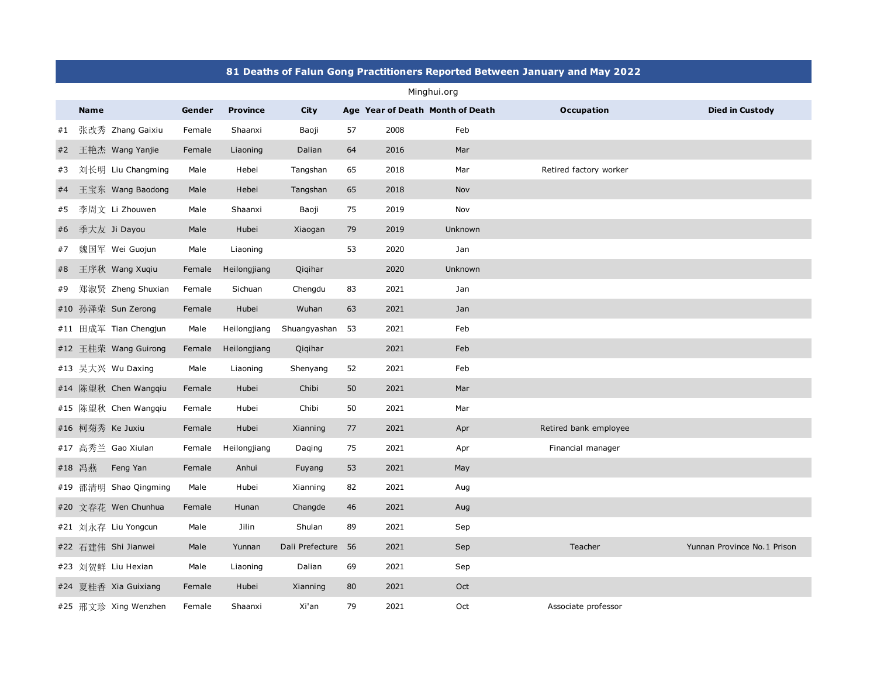|             | 81 Deaths of Falun Gong Practitioners Reported Between January and May 2022 |                       |        |                 |                 |    |      |                                  |                        |                             |  |  |
|-------------|-----------------------------------------------------------------------------|-----------------------|--------|-----------------|-----------------|----|------|----------------------------------|------------------------|-----------------------------|--|--|
| Minghui.org |                                                                             |                       |        |                 |                 |    |      |                                  |                        |                             |  |  |
|             | <b>Name</b>                                                                 |                       | Gender | <b>Province</b> | <b>City</b>     |    |      | Age Year of Death Month of Death | <b>Occupation</b>      | <b>Died in Custody</b>      |  |  |
| #1          |                                                                             | 张改秀 Zhang Gaixiu      | Female | Shaanxi         | Baoji           | 57 | 2008 | Feb                              |                        |                             |  |  |
| #2          |                                                                             | 王艳杰 Wang Yanjie       | Female | Liaoning        | Dalian          | 64 | 2016 | Mar                              |                        |                             |  |  |
| #3          |                                                                             | 刘长明 Liu Changming     | Male   | Hebei           | Tangshan        | 65 | 2018 | Mar                              | Retired factory worker |                             |  |  |
| #4          |                                                                             | 王宝东 Wang Baodong      | Male   | Hebei           | Tangshan        | 65 | 2018 | Nov                              |                        |                             |  |  |
| #5          |                                                                             | 李周文 Li Zhouwen        | Male   | Shaanxi         | Baoji           | 75 | 2019 | Nov                              |                        |                             |  |  |
| #6          |                                                                             | 季大友 Ji Dayou          | Male   | Hubei           | Xiaogan         | 79 | 2019 | Unknown                          |                        |                             |  |  |
| #7          |                                                                             | 魏国军 Wei Guojun        | Male   | Liaoning        |                 | 53 | 2020 | Jan                              |                        |                             |  |  |
| #8          |                                                                             | 王序秋 Wang Xuqiu        | Female | Heilongjiang    | Qiqihar         |    | 2020 | Unknown                          |                        |                             |  |  |
| #9          |                                                                             | 郑淑贤 Zheng Shuxian     | Female | Sichuan         | Chengdu         | 83 | 2021 | Jan                              |                        |                             |  |  |
|             |                                                                             | #10 孙泽荣 Sun Zerong    | Female | Hubei           | Wuhan           | 63 | 2021 | Jan                              |                        |                             |  |  |
|             |                                                                             | #11 田成军 Tian Chengjun | Male   | Heilongjiang    | Shuangyashan 53 |    | 2021 | Feb                              |                        |                             |  |  |
|             |                                                                             | #12 王桂荣 Wang Guirong  | Female | Heilongjiang    | Qiqihar         |    | 2021 | Feb                              |                        |                             |  |  |
|             |                                                                             | #13 吴大兴 Wu Daxing     | Male   | Liaoning        | Shenyang        | 52 | 2021 | Feb                              |                        |                             |  |  |
|             |                                                                             | #14 陈望秋 Chen Wangqiu  | Female | Hubei           | Chibi           | 50 | 2021 | Mar                              |                        |                             |  |  |
|             |                                                                             | #15 陈望秋 Chen Wangqiu  | Female | Hubei           | Chibi           | 50 | 2021 | Mar                              |                        |                             |  |  |
|             |                                                                             | #16 柯菊秀 Ke Juxiu      | Female | Hubei           | Xianning        | 77 | 2021 | Apr                              | Retired bank employee  |                             |  |  |
|             |                                                                             | #17 高秀兰 Gao Xiulan    | Female | Heilongjiang    | Daqing          | 75 | 2021 | Apr                              | Financial manager      |                             |  |  |
|             | #18 冯燕                                                                      | Feng Yan              | Female | Anhui           | Fuyang          | 53 | 2021 | May                              |                        |                             |  |  |
|             |                                                                             | #19 邵清明 Shao Qingming | Male   | Hubei           | Xianning        | 82 | 2021 | Aug                              |                        |                             |  |  |
|             |                                                                             | #20 文春花 Wen Chunhua   | Female | Hunan           | Changde         | 46 | 2021 | Aug                              |                        |                             |  |  |
|             |                                                                             | #21 刘永存 Liu Yongcun   | Male   | Jilin           | Shulan          | 89 | 2021 | Sep                              |                        |                             |  |  |
|             |                                                                             | #22 石建伟 Shi Jianwei   | Male   | Yunnan          | Dali Prefecture | 56 | 2021 | Sep                              | Teacher                | Yunnan Province No.1 Prison |  |  |
|             |                                                                             | #23 刘贺鲜 Liu Hexian    | Male   | Liaoning        | Dalian          | 69 | 2021 | Sep                              |                        |                             |  |  |
|             |                                                                             | #24 夏桂香 Xia Guixiang  | Female | Hubei           | Xianning        | 80 | 2021 | Oct                              |                        |                             |  |  |
|             |                                                                             | #25 邢文珍 Xing Wenzhen  | Female | Shaanxi         | Xi'an           | 79 | 2021 | $\hbox{Oct}$                     | Associate professor    |                             |  |  |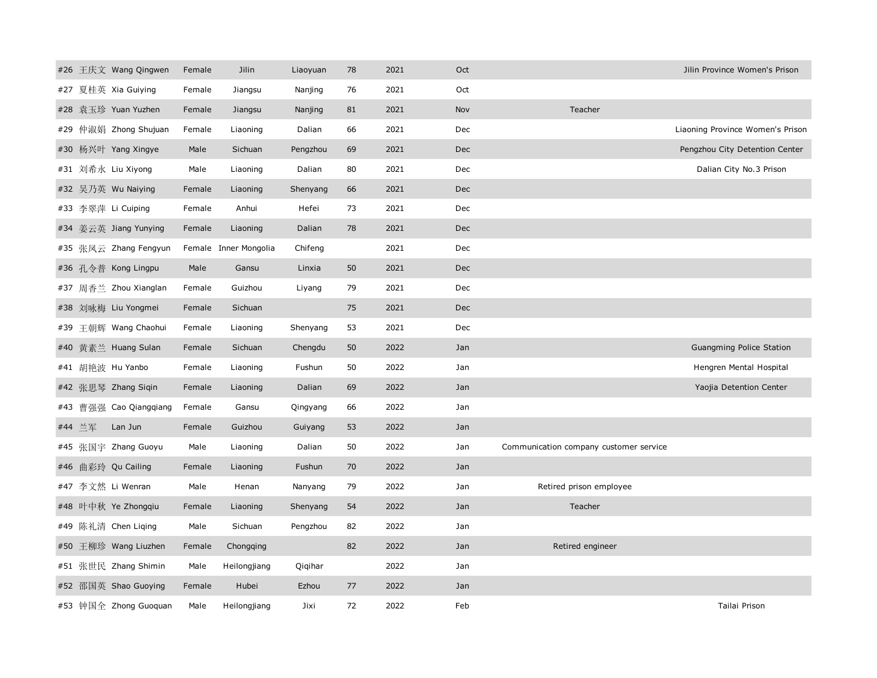|  | #26 王庆文 Wang Qingwen   | Female | Jilin                 | Liaoyuan | 78 | 2021 | Oct        |                                        | Jilin Province Women's Prison    |
|--|------------------------|--------|-----------------------|----------|----|------|------------|----------------------------------------|----------------------------------|
|  | #27 夏桂英 Xia Guiying    | Female | Jiangsu               | Nanjing  | 76 | 2021 | Oct        |                                        |                                  |
|  | #28 袁玉珍 Yuan Yuzhen    | Female | Jiangsu               | Nanjing  | 81 | 2021 | Nov        | Teacher                                |                                  |
|  | #29 仲淑娟 Zhong Shujuan  | Female | Liaoning              | Dalian   | 66 | 2021 | Dec        |                                        | Liaoning Province Women's Prison |
|  | #30 杨兴叶 Yang Xingye    | Male   | Sichuan               | Pengzhou | 69 | 2021 | Dec        |                                        | Pengzhou City Detention Center   |
|  | #31 刘希永 Liu Xiyong     | Male   | Liaoning              | Dalian   | 80 | 2021 | Dec        |                                        | Dalian City No.3 Prison          |
|  | #32 吴乃英 Wu Naiying     | Female | Liaoning              | Shenyang | 66 | 2021 | <b>Dec</b> |                                        |                                  |
|  | #33 李翠萍 Li Cuiping     | Female | Anhui                 | Hefei    | 73 | 2021 | Dec        |                                        |                                  |
|  | #34 姜云英 Jiang Yunying  | Female | Liaoning              | Dalian   | 78 | 2021 | <b>Dec</b> |                                        |                                  |
|  | #35 张凤云 Zhang Fengyun  |        | Female Inner Mongolia | Chifeng  |    | 2021 | Dec        |                                        |                                  |
|  | #36 孔令普 Kong Lingpu    | Male   | Gansu                 | Linxia   | 50 | 2021 | <b>Dec</b> |                                        |                                  |
|  | #37 周香兰 Zhou Xianglan  | Female | Guizhou               | Liyang   | 79 | 2021 | Dec        |                                        |                                  |
|  | #38 刘咏梅 Liu Yongmei    | Female | Sichuan               |          | 75 | 2021 | <b>Dec</b> |                                        |                                  |
|  | #39 王朝辉 Wang Chaohui   | Female | Liaoning              | Shenyang | 53 | 2021 | Dec        |                                        |                                  |
|  | #40 黄素兰 Huang Sulan    | Female | Sichuan               | Chengdu  | 50 | 2022 | Jan        |                                        | Guangming Police Station         |
|  | #41 胡艳波 Hu Yanbo       | Female | Liaoning              | Fushun   | 50 | 2022 | Jan        |                                        | Hengren Mental Hospital          |
|  | #42 张思琴 Zhang Siqin    | Female | Liaoning              | Dalian   | 69 | 2022 | Jan        |                                        | Yaojia Detention Center          |
|  | #43 曹强强 Cao Qiangqiang | Female | Gansu                 | Qingyang | 66 | 2022 | Jan        |                                        |                                  |
|  | #44 兰军 Lan Jun         | Female | Guizhou               | Guiyang  | 53 | 2022 | Jan        |                                        |                                  |
|  | #45 张国宇 Zhang Guoyu    | Male   | Liaoning              | Dalian   | 50 | 2022 | Jan        | Communication company customer service |                                  |
|  | #46 曲彩玲 Qu Cailing     | Female | Liaoning              | Fushun   | 70 | 2022 | Jan        |                                        |                                  |
|  | #47 李文然 Li Wenran      | Male   | Henan                 | Nanyang  | 79 | 2022 | Jan        | Retired prison employee                |                                  |
|  | #48 叶中秋 Ye Zhongqiu    | Female | Liaoning              | Shenyang | 54 | 2022 | Jan        | Teacher                                |                                  |
|  | #49 陈礼清 Chen Liqing    | Male   | Sichuan               | Pengzhou | 82 | 2022 | Jan        |                                        |                                  |
|  | #50 王柳珍 Wang Liuzhen   | Female | Chongqing             |          | 82 | 2022 | Jan        | Retired engineer                       |                                  |
|  | #51 张世民 Zhang Shimin   | Male   | Heilongjiang          | Qiqihar  |    | 2022 | Jan        |                                        |                                  |
|  | #52 邵国英 Shao Guoying   | Female | Hubei                 | Ezhou    | 77 | 2022 | Jan        |                                        |                                  |
|  | #53 钟国全 Zhong Guoquan  | Male   | Heilongjiang          | Jixi     | 72 | 2022 | Feb        |                                        | Tailai Prison                    |